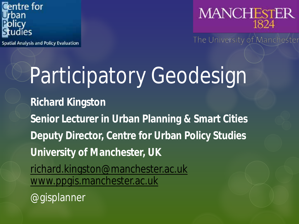

**Spatial Analysis and Policy Evaluation** 



The University of Manchester

# Participatory Geodesign

**Richard Kingston Senior Lecturer in Urban Planning & Smart Cities Deputy Director, Centre for Urban Policy Studies University of Manchester, UK** [richard.kingston@manchester.ac.uk](mailto:richard.kingston@manchester.ac.uk) [www.ppgis.manchester.ac.uk](http://www.ppgis.manchester.ac.uk/) @gisplanner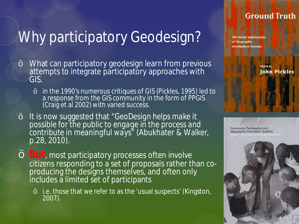#### **Ground Truth**

# Why participatory Geodesign?

- š What can participatory geodesign learn from previous attempts to integrate participatory approaches with GIS.
	- š in the 1990's numerous critiques of GIS (Pickles, 1995) led to a response from the GIS community in the form of PPGIS (Craig et al 2002) with varied success.
- š It is now suggested that *"GeoDesign helps make it possible for the public to engage in the process and contribute in meaningful ways"* (Abukhater & Walker, p.28, 2010).
- š**But**, most participatory processes often involve citizens responding to a set of proposals rather than co-<br>producing the designs themselves, and often only includes a limited set of participants
	- <sup>š</sup> i.e. those that we refer to as the 'usual suspects' (Kingston, 2007).

The Social Implications of Georgiaphic **Information Systems** 

**John Pickles** 

Community Participation and Geographic Information Systems

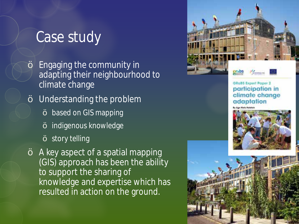## Case study

- š Engaging the community in adapting their neighbourhood to climate change
- š Understanding the problem
	- š based on GIS mapping
	- š indigenous knowledge
	- š story telling
- š A key aspect of a spatial mapping (GIS) approach has been the ability to support the sharing of knowledge and expertise which has resulted in action on the ground.

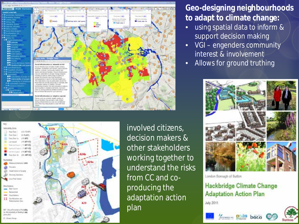



involved citizens, decision makers & other stakeholders working together to understand the risks from CC and coproducing the adaptation action plan

#### **Geo-designing neighbourhoods to adapt to climate change:**

- using spatial data to inform & support decision making
- VGI engenders community interest & involvement
- Allows for *ground truthing*



London Borough of Sutton

#### Hackbridge Climate Change **Adaptation Action Plan**

July 2011



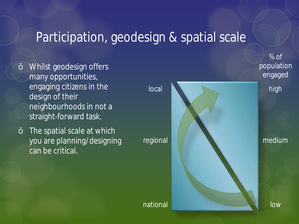### Participation, geodesign & spatial scale

- š Whilst geodesign offers many opportunities, engaging citizens in the design of their neighbourhoods in not a straight-forward task.
- š The spatial scale at which you are planning/designing can be critical.

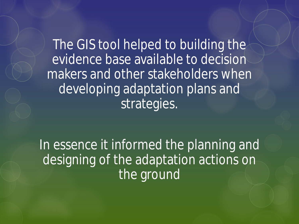The GIS tool helped to building the evidence base available to decision makers and other stakeholders when developing adaptation plans and strategies.

In essence it informed the planning and designing of the adaptation actions on the ground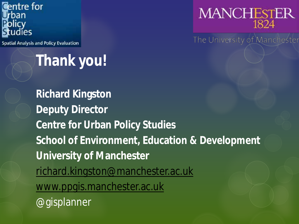

**Spatial Analysis and Policy Evaluation** 

# **Thank you!**

**Richard Kingston Deputy Director Centre for Urban Policy Studies School of Environment, Education & Development University of Manchester** [richard.kingston@manchester.ac.uk](mailto:richard.kingston@manchester.ac.uk) [www.ppgis.manchester.ac.uk](http://www.ppgis.manchester.ac.uk/) @gisplanner



The University of Manchester